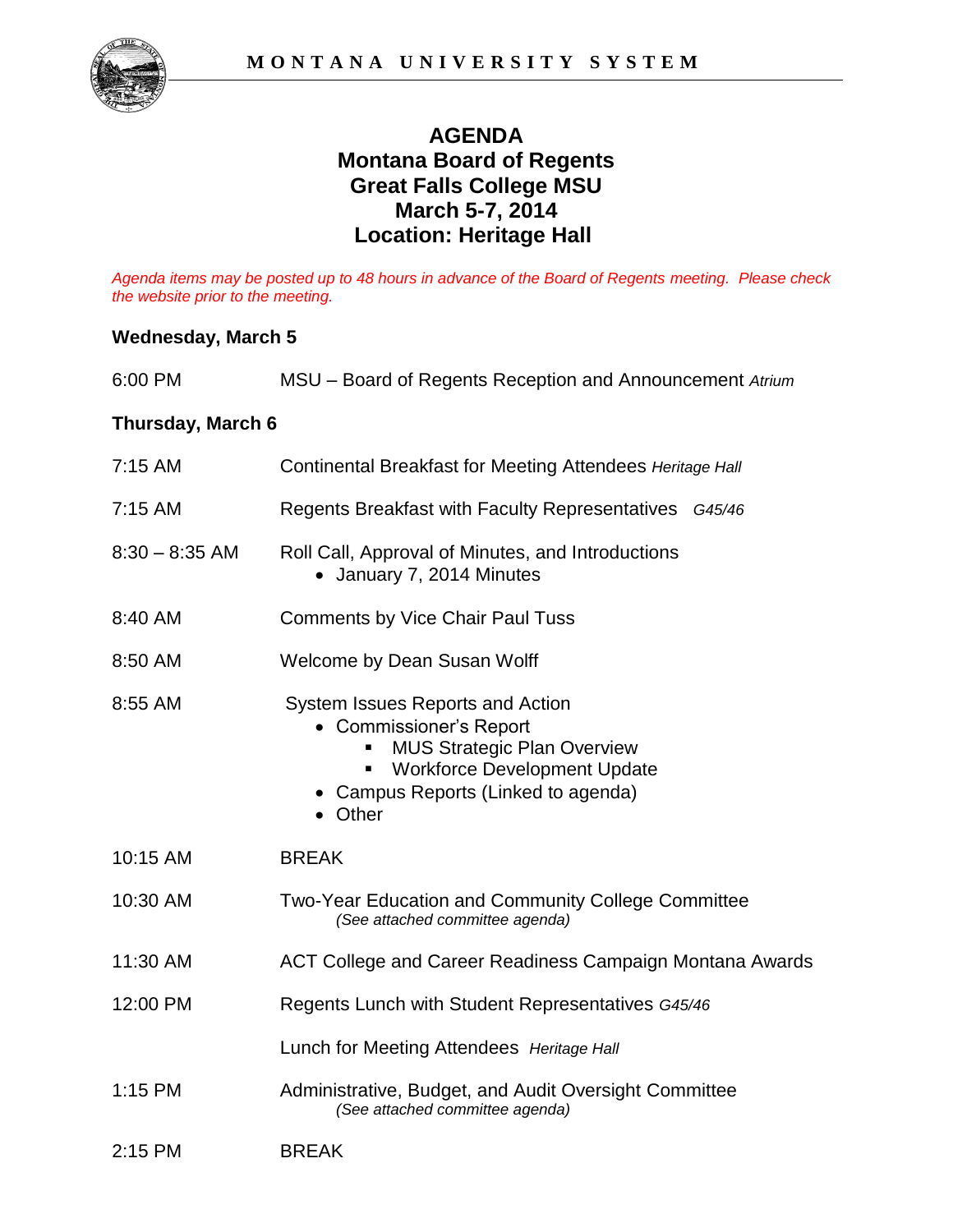

## **AGENDA Montana Board of Regents Great Falls College MSU March 5-7, 2014 Location: Heritage Hall**

*Agenda items may be posted up to 48 hours in advance of the Board of Regents meeting. Please check the website prior to the meeting.* 

## **Wednesday, March 5**

| 6:00 PM                  | MSU - Board of Regents Reception and Announcement Atrium                                                                                                                                        |
|--------------------------|-------------------------------------------------------------------------------------------------------------------------------------------------------------------------------------------------|
| <b>Thursday, March 6</b> |                                                                                                                                                                                                 |
| $7:15$ AM                | Continental Breakfast for Meeting Attendees Heritage Hall                                                                                                                                       |
| 7:15 AM                  | Regents Breakfast with Faculty Representatives G45/46                                                                                                                                           |
| $8:30 - 8:35$ AM         | Roll Call, Approval of Minutes, and Introductions<br>• January 7, 2014 Minutes                                                                                                                  |
| 8:40 AM                  | <b>Comments by Vice Chair Paul Tuss</b>                                                                                                                                                         |
| 8:50 AM                  | Welcome by Dean Susan Wolff                                                                                                                                                                     |
| 8:55 AM                  | System Issues Reports and Action<br>• Commissioner's Report<br><b>MUS Strategic Plan Overview</b><br><b>Workforce Development Update</b><br>Ξ<br>• Campus Reports (Linked to agenda)<br>• Other |
| 10:15 AM                 | <b>BREAK</b>                                                                                                                                                                                    |
| 10:30 AM                 | Two-Year Education and Community College Committee<br>(See attached committee agenda)                                                                                                           |
| 11:30 AM                 | ACT College and Career Readiness Campaign Montana Awards                                                                                                                                        |
| 12:00 PM                 | Regents Lunch with Student Representatives G45/46                                                                                                                                               |
|                          | Lunch for Meeting Attendees Heritage Hall                                                                                                                                                       |
| 1:15 PM                  | Administrative, Budget, and Audit Oversight Committee<br>(See attached committee agenda)                                                                                                        |
| $2:15$ PM                | <b>BREAK</b>                                                                                                                                                                                    |